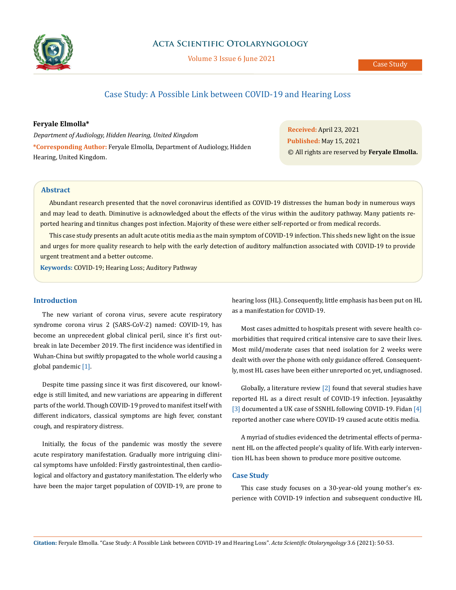

# **Acta Scientific Otolaryngology**

Volume 3 Issue 6 June 2021

# Case Study: A Possible Link between COVID-19 and Hearing Loss

### **Feryale Elmolla\***

*Department of Audiology, Hidden Hearing, United Kingdom*  **\*Corresponding Author:** Feryale Elmolla, Department of Audiology, Hidden Hearing, United Kingdom.

**Received:** April 23, 2021 **Published:** May 15, 2021 © All rights are reserved by **Feryale Elmolla.**

### **Abstract**

Abundant research presented that the novel coronavirus identified as COVID-19 distresses the human body in numerous ways and may lead to death. Diminutive is acknowledged about the effects of the virus within the auditory pathway. Many patients reported hearing and tinnitus changes post infection. Majority of these were either self-reported or from medical records.

This case study presents an adult acute otitis media as the main symptom of COVID-19 infection. This sheds new light on the issue and urges for more quality research to help with the early detection of auditory malfunction associated with COVID-19 to provide urgent treatment and a better outcome.

**Keywords:** COVID-19; Hearing Loss; Auditory Pathway

# **Introduction**

The new variant of corona virus, severe acute respiratory syndrome corona virus 2 (SARS-CoV-2) named: COVID-19, has become an unprecedent global clinical peril, since it's first outbreak in late December 2019. The first incidence was identified in Wuhan-China but swiftly propagated to the whole world causing a global pandemic [1].

Despite time passing since it was first discovered, our knowledge is still limited, and new variations are appearing in different parts of the world. Though COVID-19 proved to manifest itself with different indicators, classical symptoms are high fever, constant cough, and respiratory distress.

Initially, the focus of the pandemic was mostly the severe acute respiratory manifestation. Gradually more intriguing clinical symptoms have unfolded: Firstly gastrointestinal, then cardiological and olfactory and gustatory manifestation. The elderly who have been the major target population of COVID-19, are prone to hearing loss (HL). Consequently, little emphasis has been put on HL as a manifestation for COVID-19.

Most cases admitted to hospitals present with severe health comorbidities that required critical intensive care to save their lives. Most mild/moderate cases that need isolation for 2 weeks were dealt with over the phone with only guidance offered. Consequently, most HL cases have been either unreported or, yet, undiagnosed.

Globally, a literature review [2] found that several studies have reported HL as a direct result of COVID-19 infection. Jeyasakthy [3] documented a UK case of SSNHL following COVID-19. Fidan [4] reported another case where COVID-19 caused acute otitis media.

A myriad of studies evidenced the detrimental effects of permanent HL on the affected people's quality of life. With early intervention HL has been shown to produce more positive outcome.

## **Case Study**

This case study focuses on a 30-year-old young mother's experience with COVID-19 infection and subsequent conductive HL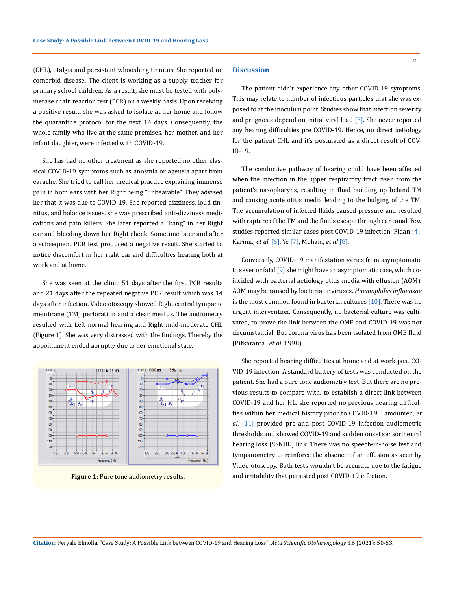(CHL), otalgia and persistent whooshing tinnitus. She reported no comorbid disease. The client is working as a supply teacher for primary school children. As a result, she must be tested with polymerase chain reaction test (PCR) on a weekly basis. Upon receiving a positive result, she was asked to isolate at her home and follow the quarantine protocol for the next 14 days. Consequently, the whole family who live at the same premises, her mother, and her infant daughter, were infected with COVID-19.

She has had no other treatment as she reported no other classical COVID-19 symptoms such as anosmia or ageusia apart from earache. She tried to call her medical practice explaining immense pain in both ears with her Right being "unbearable". They advised her that it was due to COVID-19. She reported dizziness, loud tinnitus, and balance issues. she was prescribed anti-dizziness medications and pain killers. She later reported a "bang" in her Right ear and bleeding down her Right cheek. Sometime later and after a subsequent PCR test produced a negative result. She started to notice discomfort in her right ear and difficulties hearing both at work and at home.

She was seen at the clinic 51 days after the first PCR results and 21 days after the repeated negative PCR result which was 14 days after infection. Video otoscopy showed Right central tympanic membrane (TM) perforation and a clear meatus. The audiometry resulted with Left normal hearing and Right mild-moderate CHL (Figure 1). She was very distressed with the findings, Thereby the appointment ended abruptly due to her emotional state.



**Figure 1:** Pure tone audiometry results.

#### **Discussion**

The patient didn't experience any other COVID-19 symptoms. This may relate to number of infectious particles that she was exposed to at the inoculum point. Studies show that infection severity and prognosis depend on initial viral load [5]. She never reported any hearing difficulties pre COVID-19. Hence, no direct aetiology for the patient CHL and it's postulated as a direct result of COV-ID-19.

The conductive pathway of hearing could have been affected when the infection in the upper respiratory tract risen from the patient's nasopharynx, resulting in fluid building up behind TM and causing acute otitis media leading to the bulging of the TM. The accumulation of infected fluids caused pressure and resulted with rapture of the TM and the fluids escape through ear canal. Few studies reported similar cases post COVID-19 infection: Fidan [4], Karimi., *et al*. [6], Ye [7], Mohan., *et al* [8].

Conversely, COVID-19 manifestation varies from asymptomatic to sever or fatal [9] she might have an asymptomatic case, which coincided with bacterial aetiology otitis media with effusion (AOM). AOM may be caused by bacteria or viruses. *Haemophilus influenzae* is the most common found in bacterial cultures [10]. There was no urgent intervention. Consequently, no bacterial culture was cultivated, to prove the link between the OME and COVID-19 was not circumstantial. But corona virus has been isolated from OME fluid (Pitkäranta., *et al*. 1998).

She reported hearing difficulties at home and at work post CO-VID-19 infection. A standard battery of tests was conducted on the patient. She had a pure tone audiometry test. But there are no previous results to compare with, to establish a direct link between COVID-19 and her HL. she reported no previous hearing difficulties within her medical history prior to COVID-19. Lamounier., *et al*. [11] provided pre and post COVID-19 Infection audiometric thresholds and showed COVID-19 and sudden onset sensorineural hearing loss (SSNHL) link. There was no speech-in-noise test and tympanometry to reinforce the absence of an effusion as seen by Video-otoscopy. Both tests wouldn't be accurate due to the fatigue and irritability that persisted post COVID-19 infection.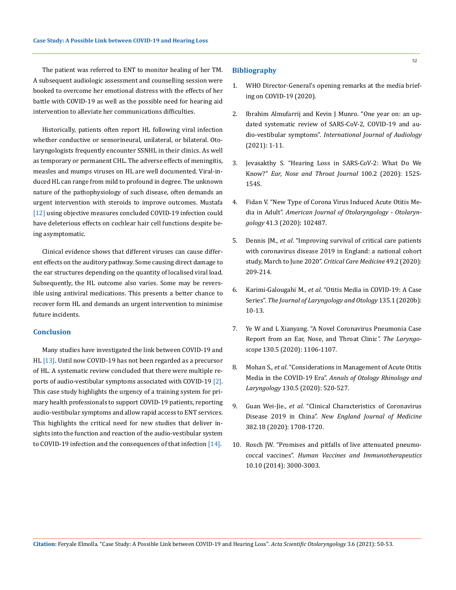The patient was referred to ENT to monitor healing of her TM. A subsequent audiologic assessment and counselling session were booked to overcome her emotional distress with the effects of her battle with COVID-19 as well as the possible need for hearing aid intervention to alleviate her communications difficulties.

Historically, patients often report HL following viral infection whether conductive or sensorineural, unilateral, or bilateral. Otolaryngologists frequently encounter SSNHL in their clinics. As well as temporary or permanent CHL. The adverse effects of meningitis, measles and mumps viruses on HL are well documented. Viral-induced HL can range from mild to profound in degree. The unknown nature of the pathophysiology of such disease, often demands an urgent intervention with steroids to improve outcomes. Mustafa [12] using objective measures concluded COVID-19 infection could have deleterious effects on cochlear hair cell functions despite being asymptomatic.

Clinical evidence shows that different viruses can cause different effects on the auditory pathway. Some causing direct damage to the ear structures depending on the quantity of localised viral load. Subsequently, the HL outcome also varies. Some may be reversible using antiviral medications. This presents a better chance to recover form HL and demands an urgent intervention to minimise future incidents.

### **Conclusion**

Many studies have investigated the link between COVID-19 and HL [13]. Until now COVID-19 has not been regarded as a precursor of HL. A systematic review concluded that there were multiple reports of audio-vestibular symptoms associated with COVID-19<sup>[2]</sup>. This case study highlights the urgency of a training system for primary health professionals to support COVID-19 patients, reporting audio-vestibular symptoms and allow rapid access to ENT services. This highlights the critical need for new studies that deliver insights into the function and reaction of the audio-vestibular system to COVID-19 infection and the consequences of that infection [14].

#### **Bibliography**

- 1. [WHO Director-General's opening remarks at the media brief](https://www.who.int/dg/speeches/detail/who-director-general-s-opening-remarks-at-the-media-briefing-on-covid-19---11-march-2020)[ing on COVID-19 \(2020\).](https://www.who.int/dg/speeches/detail/who-director-general-s-opening-remarks-at-the-media-briefing-on-covid-19---11-march-2020)
- 2. [Ibrahim Almufarrij and Kevin J Munro. "One year on: an up](https://pubmed.ncbi.nlm.nih.gov/33750252/)[dated systematic review of SARS-CoV-2, COVID-19 and au](https://pubmed.ncbi.nlm.nih.gov/33750252/)dio-vestibular symptoms". *[International Journal of Audiology](https://pubmed.ncbi.nlm.nih.gov/33750252/)* [\(2021\): 1-11.](https://pubmed.ncbi.nlm.nih.gov/33750252/)
- 3. [Jevasakthy S. "Hearing Loss in SARS-CoV-2: What Do We](https://pubmed.ncbi.nlm.nih.gov/32755405/)  Know?" *[Ear, Nose and Throat Journal](https://pubmed.ncbi.nlm.nih.gov/32755405/)* 100.2 (2020): 152S-[154S.](https://pubmed.ncbi.nlm.nih.gov/32755405/)
- 4. [Fidan V. "New Type of Corona Virus Induced Acute Otitis Me](https://pubmed.ncbi.nlm.nih.gov/32336572/)dia in Adult". *[American Journal of Otolaryngology - Otolaryn](https://pubmed.ncbi.nlm.nih.gov/32336572/)gology* [41.3 \(2020\): 102487.](https://pubmed.ncbi.nlm.nih.gov/32336572/)
- 5. Dennis JM., *et al*[. "Improving survival of critical care patients](https://pubmed.ncbi.nlm.nih.gov/33105150/)  [with coronavirus disease 2019 in England: a national cohort](https://pubmed.ncbi.nlm.nih.gov/33105150/)  [study, March to June 2020".](https://pubmed.ncbi.nlm.nih.gov/33105150/) *Critical Care Medicine* 49.2 (2020): [209-214.](https://pubmed.ncbi.nlm.nih.gov/33105150/)
- 6. Karimi-Galougahi M., *et al*[. "Otitis Media in COVID-19: A Case](https://pubmed.ncbi.nlm.nih.gov/33407978/)  Series". *[The Journal of Laryngology and Otology](https://pubmed.ncbi.nlm.nih.gov/33407978/)* 135.1 (2020b): [10-13.](https://pubmed.ncbi.nlm.nih.gov/33407978/)
- 7. [Ye W and L Xianyang. "A Novel Coronavirus Pneumonia Case](https://pubmed.ncbi.nlm.nih.gov/32329908/)  [Report from an Ear, Nose, and Throat Clinic](https://pubmed.ncbi.nlm.nih.gov/32329908/)*". The Laryngoscope* [130.5 \(2020\): 1106-1107.](https://pubmed.ncbi.nlm.nih.gov/32329908/)
- 8. Mohan S., *et al*[. "Considerations in Management of Acute Otitis](https://pubmed.ncbi.nlm.nih.gov/32911957/)  Media in the COVID-19 Era". *[Annals of Otology Rhinology and](https://pubmed.ncbi.nlm.nih.gov/32911957/)  Laryngology* [130.5 \(2020\): 520-527.](https://pubmed.ncbi.nlm.nih.gov/32911957/)
- 9. Guan Wei-Jie., *et al*[. "Clinical Characteristics of Coronavirus](https://www.nejm.org/doi/pdf/10.1056/nejmoa2002032)  Disease 2019 in China". *[New England Journal of Medicine](https://www.nejm.org/doi/pdf/10.1056/nejmoa2002032)* [382.18 \(2020\): 1708-1720.](https://www.nejm.org/doi/pdf/10.1056/nejmoa2002032)
- 10. [Rosch JW. "Promises and pitfalls of live attenuated pneumo](https://pubmed.ncbi.nlm.nih.gov/25483458/)coccal vaccines". *[Human Vaccines and Immunotherapeutics](https://pubmed.ncbi.nlm.nih.gov/25483458/)*  [10.10 \(2014\): 3000-3003.](https://pubmed.ncbi.nlm.nih.gov/25483458/)